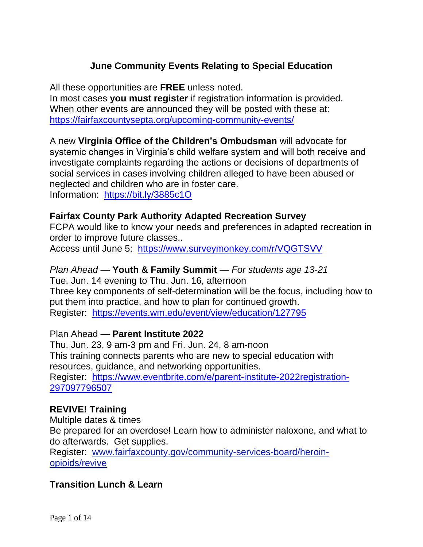# **June Community Events Relating to Special Education**

All these opportunities are **FREE** unless noted.

In most cases **you must register** if registration information is provided. When other events are announced they will be posted with these at: <https://fairfaxcountysepta.org/upcoming-community-events/>

A new **Virginia Office of the Children's Ombudsman** will advocate for systemic changes in Virginia's child welfare system and will both receive and investigate complaints regarding the actions or decisions of departments of social services in cases involving children alleged to have been abused or neglected and children who are in foster care. Information: <https://bit.ly/3885c1O>

### **Fairfax County Park Authority Adapted Recreation Survey**

FCPA would like to know your needs and preferences in adapted recreation in order to improve future classes..

Access until June 5: <https://www.surveymonkey.com/r/VQGTSVV>

#### *Plan Ahead —* **Youth & Family Summit** *— For students age 13-21*

Tue. Jun. 14 evening to Thu. Jun. 16, afternoon Three key components of self-determination will be the focus, including how to put them into practice, and how to plan for continued growth. Register: <https://events.wm.edu/event/view/education/127795>

#### Plan Ahead — **Parent Institute 2022**

Thu. Jun. 23, 9 am-3 pm and Fri. Jun. 24, 8 am-noon This training connects parents who are new to special education with resources, guidance, and networking opportunities. Register: [https://www.eventbrite.com/e/parent-institute-2022registration-](https://www.eventbrite.com/e/parent-institute-2022registration-297097796507)[297097796507](https://www.eventbrite.com/e/parent-institute-2022registration-297097796507)

# **REVIVE! Training**

Multiple dates & times Be prepared for an overdose! Learn how to administer naloxone, and what to do afterwards. Get supplies. Register: [www.fairfaxcounty.gov/community-services-board/heroin](http://www.fairfaxcounty.gov/community-services-board/heroin-opioids/revive)[opioids/revive](http://www.fairfaxcounty.gov/community-services-board/heroin-opioids/revive)

# **Transition Lunch & Learn**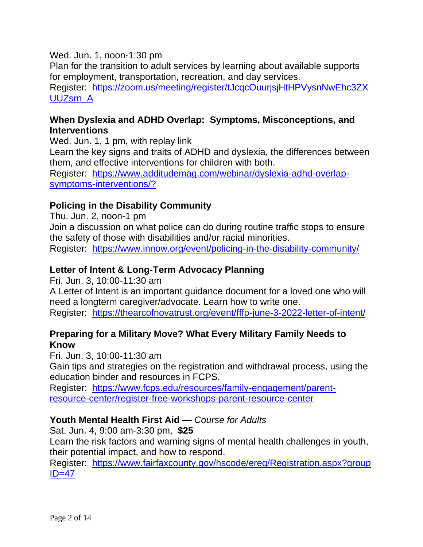#### Wed. Jun. 1, noon-1:30 pm

Plan for the transition to adult services by learning about available supports for employment, transportation, recreation, and day services. Register: [https://zoom.us/meeting/register/tJcqcOuurjsjHtHPVysnNwEhc3ZX](https://zoom.us/meeting/register/tJcqcOuurjsjHtHPVysnNwEhc3ZXUUZsrn_A) [UUZsrn\\_A](https://zoom.us/meeting/register/tJcqcOuurjsjHtHPVysnNwEhc3ZXUUZsrn_A)

# **When Dyslexia and ADHD Overlap: Symptoms, Misconceptions, and Interventions**

Wed. Jun. 1, 1 pm, with replay link

Learn the key signs and traits of ADHD and dyslexia, the differences between them, and effective interventions for children with both.

Register: [https://www.additudemag.com/webinar/dyslexia-adhd-overlap](https://www.additudemag.com/webinar/dyslexia-adhd-overlap-symptoms-interventions/?)[symptoms-interventions/?](https://www.additudemag.com/webinar/dyslexia-adhd-overlap-symptoms-interventions/?)

# **Policing in the Disability Community**

Thu. Jun. 2, noon-1 pm

Join a discussion on what police can do during routine traffic stops to ensure the safety of those with disabilities and/or racial minorities.

Register: <https://www.innow.org/event/policing-in-the-disability-community/>

# **Letter of Intent & Long-Term Advocacy Planning**

Fri. Jun. 3, 10:00-11:30 am

A Letter of Intent is an important guidance document for a loved one who will need a longterm caregiver/advocate. Learn how to write one. Register: <https://thearcofnovatrust.org/event/fffp-june-3-2022-letter-of-intent/>

# **Preparing for a Military Move? What Every Military Family Needs to Know**

Fri. Jun. 3, 10:00-11:30 am

Gain tips and strategies on the registration and withdrawal process, using the education binder and resources in FCPS.

Register: [https://www.fcps.edu/resources/family-engagement/parent](https://www.fcps.edu/resources/family-engagement/parent-resource-center/register-free-workshops-parent-resource-center)[resource-center/register-free-workshops-parent-resource-center](https://www.fcps.edu/resources/family-engagement/parent-resource-center/register-free-workshops-parent-resource-center)

# **Youth Mental Health First Aid —** *Course for Adults*

Sat. Jun. 4, 9:00 am-3:30 pm, **\$25**

Learn the risk factors and warning signs of mental health challenges in youth, their potential impact, and how to respond.

Register: [https://www.fairfaxcounty.gov/hscode/ereg/Registration.aspx?group](https://www.fairfaxcounty.gov/hscode/ereg/Registration.aspx?groupID=47)  $ID=47$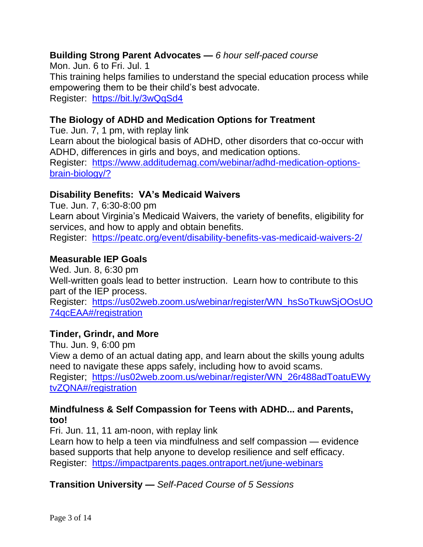# **Building Strong Parent Advocates —** *6 hour self-paced course*

Mon. Jun. 6 to Fri. Jul. 1 This training helps families to understand the special education process while empowering them to be their child's best advocate. Register: <https://bit.ly/3wQqSd4>

## **The Biology of ADHD and Medication Options for Treatment**

Tue. Jun. 7, 1 pm, with replay link Learn about the biological basis of ADHD, other disorders that co-occur with ADHD, differences in girls and boys, and medication options. Register: [https://www.additudemag.com/webinar/adhd-medication-options](https://www.additudemag.com/webinar/adhd-medication-options-brain-biology/?)[brain-biology/?](https://www.additudemag.com/webinar/adhd-medication-options-brain-biology/?)

#### **Disability Benefits: VA's Medicaid Waivers**

Tue. Jun. 7, 6:30-8:00 pm Learn about Virginia's Medicaid Waivers, the variety of benefits, eligibility for services, and how to apply and obtain benefits. Register: <https://peatc.org/event/disability-benefits-vas-medicaid-waivers-2/>

### **Measurable IEP Goals**

Wed. Jun. 8, 6:30 pm Well-written goals lead to better instruction. Learn how to contribute to this part of the IEP process.

Register: [https://us02web.zoom.us/webinar/register/WN\\_hsSoTkuwSjOOsUO](https://us02web.zoom.us/webinar/register/WN_hsSoTkuwSjOOsUO74qcEAA#/registration) [74qcEAA#/registration](https://us02web.zoom.us/webinar/register/WN_hsSoTkuwSjOOsUO74qcEAA#/registration)

#### **Tinder, Grindr, and More**

Thu. Jun. 9, 6:00 pm

View a demo of an actual dating app, and learn about the skills young adults need to navigate these apps safely, including how to avoid scams. Register; [https://us02web.zoom.us/webinar/register/WN\\_26r488adToatuEWy](https://us02web.zoom.us/webinar/register/WN_26r488adToatuEWytvZQNA#/registration) [tvZQNA#/registration](https://us02web.zoom.us/webinar/register/WN_26r488adToatuEWytvZQNA#/registration)

### **Mindfulness & Self Compassion for Teens with ADHD... and Parents, too!**

Fri. Jun. 11, 11 am-noon, with replay link

Learn how to help a teen via mindfulness and self compassion — evidence based supports that help anyone to develop resilience and self efficacy. Register: <https://impactparents.pages.ontraport.net/june-webinars>

# **Transition University —** *Self-Paced Course of 5 Sessions*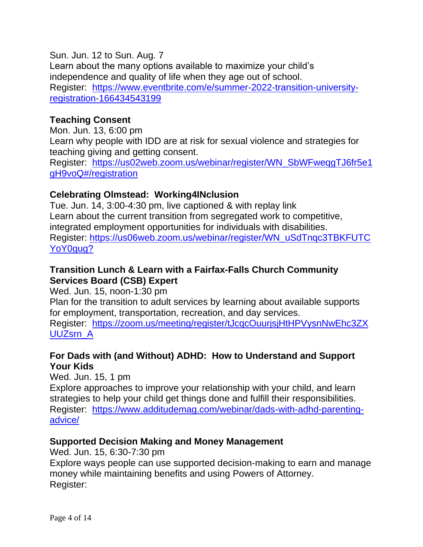Sun. Jun. 12 to Sun. Aug. 7 Learn about the many options available to maximize your child's independence and quality of life when they age out of school. Register: [https://www.eventbrite.com/e/summer-2022-transition-university](https://www.eventbrite.com/e/summer-2022-transition-university-registration-166434543199)[registration-166434543199](https://www.eventbrite.com/e/summer-2022-transition-university-registration-166434543199)

#### **Teaching Consent**

Mon. Jun. 13, 6:00 pm Learn why people with IDD are at risk for sexual violence and strategies for teaching giving and getting consent. Register: [https://us02web.zoom.us/webinar/register/WN\\_SbWFweqgTJ6fr5e1](https://us02web.zoom.us/webinar/register/WN_SbWFweqgTJ6fr5e1gH9voQ#/registration) [gH9voQ#/registration](https://us02web.zoom.us/webinar/register/WN_SbWFweqgTJ6fr5e1gH9voQ#/registration)

### **Celebrating Olmstead: Working4INclusion**

Tue. Jun. 14, 3:00-4:30 pm, live captioned & with replay link Learn about the current transition from segregated work to competitive, integrated employment opportunities for individuals with disabilities. Register: [https://us06web.zoom.us/webinar/register/WN\\_uSdTnqc3TBKFUTC](https://us06web.zoom.us/webinar/register/WN_uSdTnqc3TBKFUTCYoY0gug?) [YoY0gug?](https://us06web.zoom.us/webinar/register/WN_uSdTnqc3TBKFUTCYoY0gug?)

#### **Transition Lunch & Learn with a Fairfax-Falls Church Community Services Board (CSB) Expert**

Wed. Jun. 15, noon-1:30 pm

Plan for the transition to adult services by learning about available supports for employment, transportation, recreation, and day services.

Register: [https://zoom.us/meeting/register/tJcqcOuurjsjHtHPVysnNwEhc3ZX](https://zoom.us/meeting/register/tJcqcOuurjsjHtHPVysnNwEhc3ZXUUZsrn_A) [UUZsrn\\_A](https://zoom.us/meeting/register/tJcqcOuurjsjHtHPVysnNwEhc3ZXUUZsrn_A)

# **For Dads with (and Without) ADHD: How to Understand and Support Your Kids**

Wed. Jun. 15, 1 pm Explore approaches to improve your relationship with your child, and learn strategies to help your child get things done and fulfill their responsibilities. Register: [https://www.additudemag.com/webinar/dads-with-adhd-parenting](https://www.additudemag.com/webinar/dads-with-adhd-parenting-advice/)[advice/](https://www.additudemag.com/webinar/dads-with-adhd-parenting-advice/)

#### **Supported Decision Making and Money Management**

Wed. Jun. 15, 6:30-7:30 pm Explore ways people can use supported decision-making to earn and manage money while maintaining benefits and using Powers of Attorney. Register: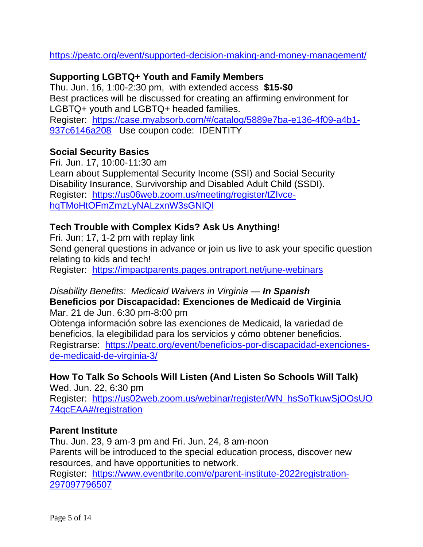<https://peatc.org/event/supported-decision-making-and-money-management/>

# **Supporting LGBTQ+ Youth and Family Members**

Thu. Jun. 16, 1:00-2:30 pm, with extended access **\$15-\$0** Best practices will be discussed for creating an affirming environment for LGBTQ+ youth and LGBTQ+ headed families. Register: [https://case.myabsorb.com/#/catalog/5889e7ba-e136-4f09-a4b1-](https://case.myabsorb.com/#/catalog/5889e7ba-e136-4f09-a4b1-937c6146a208) [937c6146a208](https://case.myabsorb.com/#/catalog/5889e7ba-e136-4f09-a4b1-937c6146a208) Use coupon code: IDENTITY

# **Social Security Basics**

Fri. Jun. 17, 10:00-11:30 am Learn about Supplemental Security Income (SSI) and Social Security Disability Insurance, Survivorship and Disabled Adult Child (SSDI). Register: [https://us06web.zoom.us/meeting/register/tZIvce](https://us06web.zoom.us/meeting/register/tZIvce-hqTMoHtOFmZmzLyNALzxnW3sGNlQl)[hqTMoHtOFmZmzLyNALzxnW3sGNlQl](https://us06web.zoom.us/meeting/register/tZIvce-hqTMoHtOFmZmzLyNALzxnW3sGNlQl)

### **Tech Trouble with Complex Kids? Ask Us Anything!**

Fri. Jun; 17, 1-2 pm with replay link

Send general questions in advance or join us live to ask your specific question relating to kids and tech!

Register: <https://impactparents.pages.ontraport.net/june-webinars>

#### *Disability Benefits: Medicaid Waivers in Virginia — In Spanish*

**Beneficios por Discapacidad: Exenciones de Medicaid de Virginia** Mar. 21 de Jun. 6:30 pm-8:00 pm

Obtenga información sobre las exenciones de Medicaid, la variedad de beneficios, la elegibilidad para los servicios y cómo obtener beneficios. Registrarse: [https://peatc.org/event/beneficios-por-discapacidad-exenciones](https://peatc.org/event/beneficios-por-discapacidad-exenciones-de-medicaid-de-virginia-3/)[de-medicaid-de-virginia-3/](https://peatc.org/event/beneficios-por-discapacidad-exenciones-de-medicaid-de-virginia-3/)

# **How To Talk So Schools Will Listen (And Listen So Schools Will Talk)**

Wed. Jun. 22, 6:30 pm Register: [https://us02web.zoom.us/webinar/register/WN\\_hsSoTkuwSjOOsUO](https://us02web.zoom.us/webinar/register/WN_hsSoTkuwSjOOsUO74qcEAA#/registration) [74qcEAA#/registration](https://us02web.zoom.us/webinar/register/WN_hsSoTkuwSjOOsUO74qcEAA#/registration)

#### **Parent Institute**

Thu. Jun. 23, 9 am-3 pm and Fri. Jun. 24, 8 am-noon Parents will be introduced to the special education process, discover new resources, and have opportunities to network.

Register: [https://www.eventbrite.com/e/parent-institute-2022registration-](https://www.eventbrite.com/e/parent-institute-2022registration-297097796507)[297097796507](https://www.eventbrite.com/e/parent-institute-2022registration-297097796507)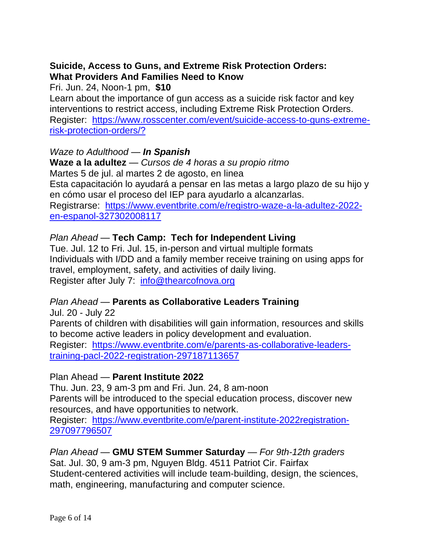## **Suicide, Access to Guns, and Extreme Risk Protection Orders: What Providers And Families Need to Know**

Fri. Jun. 24, Noon-1 pm, **\$10**

Learn about the importance of gun access as a suicide risk factor and key interventions to restrict access, including Extreme Risk Protection Orders. Register: [https://www.rosscenter.com/event/suicide-access-to-guns-extreme](https://www.rosscenter.com/event/suicide-access-to-guns-extreme-risk-protection-orders/?)[risk-protection-orders/?](https://www.rosscenter.com/event/suicide-access-to-guns-extreme-risk-protection-orders/?)

### *Waze to Adulthood — In Spanish*

**Waze a la adultez** — *Cursos de 4 horas a su propio ritmo* Martes 5 de jul. al martes 2 de agosto, en linea Esta capacitación lo ayudará a pensar en las metas a largo plazo de su hijo y en cómo usar el proceso del IEP para ayudarlo a alcanzarlas. Registrarse: [https://www.eventbrite.com/e/registro-waze-a-la-adultez-2022](https://www.eventbrite.com/e/registro-waze-a-la-adultez-2022-en-espanol-327302008117) [en-espanol-327302008117](https://www.eventbrite.com/e/registro-waze-a-la-adultez-2022-en-espanol-327302008117)

### *Plan Ahead —* **Tech Camp: Tech for Independent Living**

Tue. Jul. 12 to Fri. Jul. 15, in-person and virtual multiple formats Individuals with I/DD and a family member receive training on using apps for travel, employment, safety, and activities of daily living. Register after July 7: [info@thearcofnova.org](mailto:info@thearcofnova.org)

# *Plan Ahead —* **Parents as Collaborative Leaders Training**

Jul. 20 - July 22 Parents of children with disabilities will gain information, resources and skills to become active leaders in policy development and evaluation. Register: [https://www.eventbrite.com/e/parents-as-collaborative-leaders](https://www.eventbrite.com/e/parents-as-collaborative-leaders-training-pacl-2022-registration-297187113657)[training-pacl-2022-registration-297187113657](https://www.eventbrite.com/e/parents-as-collaborative-leaders-training-pacl-2022-registration-297187113657)

#### Plan Ahead — **Parent Institute 2022**

Thu. Jun. 23, 9 am-3 pm and Fri. Jun. 24, 8 am-noon Parents will be introduced to the special education process, discover new resources, and have opportunities to network. Register: [https://www.eventbrite.com/e/parent-institute-2022registration-](https://www.eventbrite.com/e/parent-institute-2022registration-297097796507)[297097796507](https://www.eventbrite.com/e/parent-institute-2022registration-297097796507)

*Plan Ahead —* **GMU STEM Summer Saturday** *— For 9th-12th graders* Sat. Jul. 30, 9 am-3 pm, Nguyen Bldg. 4511 Patriot Cir. Fairfax Student-centered activities will include team-building, design, the sciences, math, engineering, manufacturing and computer science.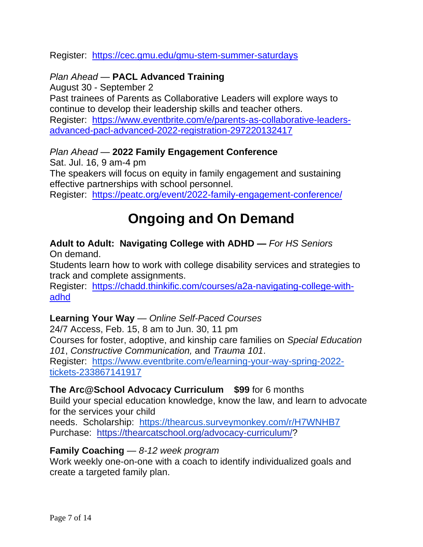#### Register: <https://cec.gmu.edu/gmu-stem-summer-saturdays>

## *Plan Ahead —* **PACL Advanced Training**

August 30 - September 2

Past trainees of Parents as Collaborative Leaders will explore ways to continue to develop their leadership skills and teacher others. Register: [https://www.eventbrite.com/e/parents-as-collaborative-leaders](https://www.eventbrite.com/e/parents-as-collaborative-leaders-advanced-pacl-advanced-2022-registration-297220132417)[advanced-pacl-advanced-2022-registration-297220132417](https://www.eventbrite.com/e/parents-as-collaborative-leaders-advanced-pacl-advanced-2022-registration-297220132417)

#### *Plan Ahead —* **2022 Family Engagement Conference**

Sat. Jul. 16, 9 am-4 pm

The speakers will focus on equity in family engagement and sustaining effective partnerships with school personnel.

Register: <https://peatc.org/event/2022-family-engagement-conference/>

# **Ongoing and On Demand**

#### **Adult to Adult: Navigating College with ADHD** *— For HS Seniors* On demand.

Students learn how to work with college disability services and strategies to track and complete assignments.

Register: [https://chadd.thinkific.com/courses/a2a-navigating-college-with](https://chadd.thinkific.com/courses/a2a-navigating-college-with-adhd)[adhd](https://chadd.thinkific.com/courses/a2a-navigating-college-with-adhd)

#### **Learning Your Way** — *Online Self-Paced Courses*

24/7 Access, Feb. 15, 8 am to Jun. 30, 11 pm Courses for foster, adoptive, and kinship care families on *Special Education 101*, *Constructive Communication,* and *Trauma 101*. Register: [https://www.eventbrite.com/e/learning-your-way-spring-2022](https://www.eventbrite.com/e/learning-your-way-spring-2022-tickets-233867141917) [tickets-233867141917](https://www.eventbrite.com/e/learning-your-way-spring-2022-tickets-233867141917)

#### **The Arc@School Advocacy Curriculum \$99** for 6 months

Build your special education knowledge, know the law, and learn to advocate for the services your child

needs. Scholarship: <https://thearcus.surveymonkey.com/r/H7WNHB7> Purchase: [https://thearcatschool.org/advocacy-curriculum/?](https://thearcatschool.org/advocacy-curriculum/)

#### **Family Coaching** *— 8-12 week program*

Work weekly one-on-one with a coach to identify individualized goals and create a targeted family plan.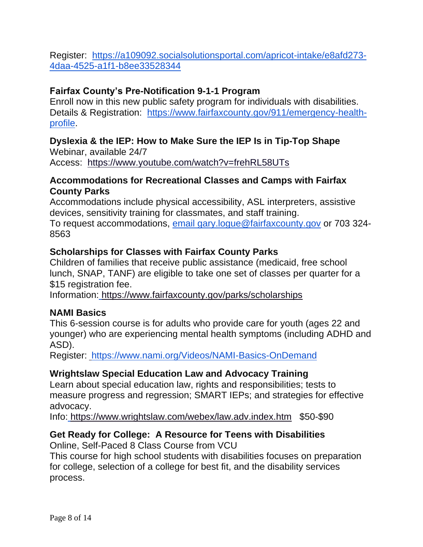Register: [https://a109092.socialsolutionsportal.com/apricot-intake/e8afd273-](https://a109092.socialsolutionsportal.com/apricot-intake/e8afd273-4daa-4525-a1f1-b8ee33528344) [4daa-4525-a1f1-b8ee33528344](https://a109092.socialsolutionsportal.com/apricot-intake/e8afd273-4daa-4525-a1f1-b8ee33528344)

# **Fairfax County's Pre-Notification 9-1-1 Program**

Enroll now in this new public safety program for individuals with disabilities. Details & Registration: [https://www.fairfaxcounty.gov/911/emergency-health](https://www.fairfaxcounty.gov/911/emergency-health-profile)[profile.](https://www.fairfaxcounty.gov/911/emergency-health-profile)

# **Dyslexia & the IEP: How to Make Sure the IEP Is in Tip-Top Shape**

Webinar, available 24/7 Access: <https://www.youtube.com/watch?v=frehRL58UTs>

### **Accommodations for Recreational Classes and Camps with Fairfax County Parks**

Accommodations include physical accessibility, ASL interpreters, assistive devices, sensitivity training for classmates, and staff training.

To request accommodations, [email gary.logue@fairfaxcounty.gov](mailto:gary.logue@fairfaxcounty.gov) or 703 324- 8563

# **Scholarships for Classes with Fairfax County Parks**

Children of families that receive public assistance (medicaid, free school lunch, SNAP, TANF) are eligible to take one set of classes per quarter for a \$15 registration fee.

Information: <https://www.fairfaxcounty.gov/parks/scholarships>

# **NAMI Basics**

This 6-session course is for adults who provide care for youth (ages 22 and younger) who are experiencing mental health symptoms (including ADHD and ASD).

Register[:](https://publiccourseapi.nami.org/Learner/Login?ReturnUrl=%2F) <https://www.nami.org/Videos/NAMI-Basics-OnDemand>

# **Wrightslaw Special Education Law and Advocacy Training**

Learn about special education law, rights and responsibilities; tests to measure progress and regression; SMART IEPs; and strategies for effective advocacy.

Info: <https://www.wrightslaw.com/webex/law.adv.index.htm>\$50-\$90

# **Get Ready for College: A Resource for Teens with Disabilities**

Online, Self-Paced 8 Class Course from VCU

This course for high school students with disabilities focuses on preparation for college, selection of a college for best fit, and the disability services process.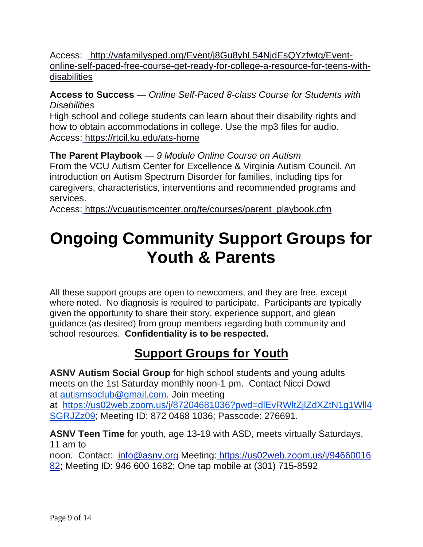Access: [http://vafamilysped.org/Event/j8Gu8yhL54NjdEsQYzfwtg/Event](http://vafamilysped.org/Event/j8Gu8yhL54NjdEsQYzfwtg/Event-online-self-paced-free-course-get-ready-for-college-a-resource-for-teens-with-disabilities)[online-self-paced-free-course-get-ready-for-college-a-resource-for-teens-with](http://vafamilysped.org/Event/j8Gu8yhL54NjdEsQYzfwtg/Event-online-self-paced-free-course-get-ready-for-college-a-resource-for-teens-with-disabilities)[disabilities](http://vafamilysped.org/Event/j8Gu8yhL54NjdEsQYzfwtg/Event-online-self-paced-free-course-get-ready-for-college-a-resource-for-teens-with-disabilities)

**Access to Success** — *Online Self-Paced 8-class Course for Students with Disabilities*

High school and college students can learn about their disability rights and how to obtain accommodations in college. Use the mp3 files for audio. Access: [https://rtcil.ku.edu/ats-home](https://accesstosuccess.ctb.ku.edu/)

**The Parent Playbook** — *9 Module Online Course on Autism* From the VCU Autism Center for Excellence & Virginia Autism Council. An introduction on Autism Spectrum Disorder for families, including tips for caregivers, characteristics, interventions and recommended programs and services.

Access: [https://vcuautismcenter.org/te/courses/parent\\_playbook.cfm](https://vcuautismcenter.org/te/courses/parent_playbook.cfm)

# **Ongoing Community Support Groups for Youth & Parents**

All these support groups are open to newcomers, and they are free, except where noted. No diagnosis is required to participate. Participants are typically given the opportunity to share their story, experience support, and glean guidance (as desired) from group members regarding both community and school resources. **Confidentiality is to be respected.**

# **Support Groups for Youth**

**ASNV Autism Social Group** for high school students and young adults meets on the 1st Saturday monthly noon-1 pm. Contact Nicci Dowd at [autismsoclub@gmail.com.](mailto:autismsoclub@gmail.com) Join meeting at [https://us02web.zoom.us/j/87204681036?pwd=dlEvRWltZjlZdXZtN1g1Wll4](https://us02web.zoom.us/j/87204681036?pwd=dlEvRWltZjlZdXZtN1g1Wll4SGRJZz09) [SGRJZz09;](https://us02web.zoom.us/j/87204681036?pwd=dlEvRWltZjlZdXZtN1g1Wll4SGRJZz09) Meeting ID: 872 0468 1036; Passcode: 276691.

**ASNV Teen Time** for youth, age 13-19 with ASD, meets virtually Saturdays, 11 am to

noon. Contact: [info@asnv.org](mailto:info@asnv.org) Meeting: [https://us02web.zoom.us/j/94660016](https://us02web.zoom.us/j/9466001682) [82;](https://us02web.zoom.us/j/9466001682) Meeting ID: 946 600 1682; One tap mobile at (301) 715-8592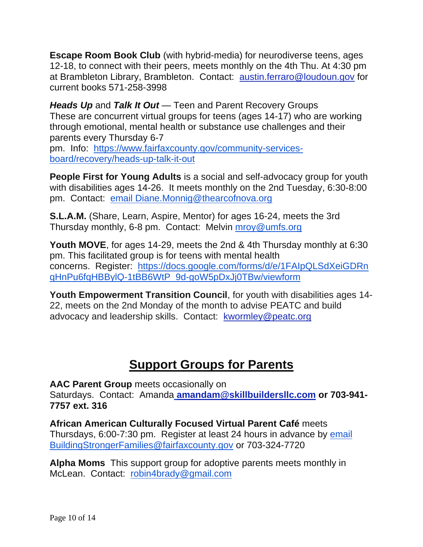**Escape Room Book Club** (with hybrid-media) for neurodiverse teens, ages 12-18, to connect with their peers, meets monthly on the 4th Thu. At 4:30 pm at Brambleton Library, Brambleton. Contact: [austin.ferraro@loudoun.gov](mailto:austin.ferraro@loudoun.gov) for current books 571-258-3998

*Heads Up* and *Talk It Out —* Teen and Parent Recovery Groups These are concurrent virtual groups for teens (ages 14-17) who are working through emotional, mental health or substance use challenges and their parents every Thursday 6-7

pm. Info: [https://www.fairfaxcounty.gov/community-services](https://www.fairfaxcounty.gov/community-services-board/recovery/heads-up-talk-it-out)[board/recovery/heads-up-talk-it-out](https://www.fairfaxcounty.gov/community-services-board/recovery/heads-up-talk-it-out)

**People First for Young Adults** is a social and self-advocacy group for youth with disabilities ages 14-26. It meets monthly on the 2nd Tuesday, 6:30-8:00 pm. Contact: [email Diane.Monnig@thearcofnova.org](mailto:Diane.Monnig@thearcofnova.org)

**S.L.A.M.** (Share, Learn, Aspire, Mentor) for ages 16-24, meets the 3rd Thursday monthly, 6-8 pm. Contact: Melvin [mroy@umfs.org](mailto:mroy@umfs.org)

**Youth MOVE**, for ages 14-29, meets the 2nd & 4th Thursday monthly at 6:30 pm. This facilitated group is for teens with mental health concerns. Register: [https://docs.google.com/forms/d/e/1FAIpQLSdXeiGDRn](https://docs.google.com/forms/d/e/1FAIpQLSdXeiGDRnqHnPu6fqHBBylQ-1tBB6WtP_9d-goW5pDxJj0TBw/viewform) [qHnPu6fqHBBylQ-1tBB6WtP\\_9d-goW5pDxJj0TBw/viewform](https://docs.google.com/forms/d/e/1FAIpQLSdXeiGDRnqHnPu6fqHBBylQ-1tBB6WtP_9d-goW5pDxJj0TBw/viewform)

**Youth Empowerment Transition Council**, for youth with disabilities ages 14- 22, meets on the 2nd Monday of the month to advise PEATC and build advocacy and leadership skills. Contact: [kwormley@peatc.org](mailto:kwormley@peatc.org)

# **Support Groups for Parents**

**AAC Parent Group** meets occasionally on Saturdays. Contact: Amanda **[amandam@skillbuildersllc.com](http://amandam@skillbuildersllc.com/) or 703-941- 7757 ext. 316**

**African American Culturally Focused Virtual Parent Café** meets Thursdays, 6:00-7:30 pm. Register at least 24 hours in advance by [email](mailto:BuildingStrongerFamilies@fairfaxcounty.gov)  [BuildingStrongerFamilies@fairfaxcounty.gov](mailto:BuildingStrongerFamilies@fairfaxcounty.gov) or 703-324-7720

**Alpha Moms** This support group for adoptive parents meets monthly in McLean. Contact: [robin4brady@gmail.com](mailto:robin4brady@gmail.com)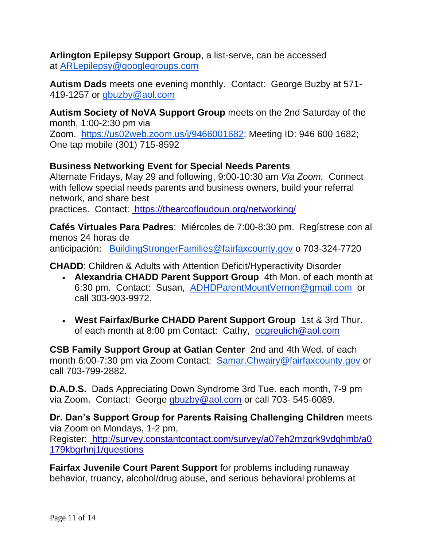**Arlington Epilepsy Support Group**, a list-serve, can be accessed at [ARLepilepsy@googlegroups.com](mailto:ARLepilepsy@googlegroups.com)

**Autism Dads** meets one evening monthly. Contact: George Buzby at 571- 419-1257 or [gbuzby@aol.com](mailto:gbuzby@aol.com)

**Autism Society of NoVA Support Group** meets on the 2nd Saturday of the month, 1:00-2:30 pm via

Zoom. [https://us02web.zoom.us/j/9466001682;](https://us02web.zoom.us/j/9466001682) Meeting ID: 946 600 1682; One tap mobile (301) 715-8592

# **Business Networking Event for Special Needs Parents**

Alternate Fridays, May 29 and following, 9:00-10:30 am *Via Zoom.* Connect with fellow special needs parents and business owners, build your referral network, and share best practices. Contact: <https://thearcofloudoun.org/networking/>

**Cafés Virtuales Para Padres**: Miércoles de 7:00-8:30 pm. Regístrese con al menos 24 horas de anticipación: [BuildingStrongerFamilies@fairfaxcounty.gov](mailto:BuildingStrongerFamilies@fairfaxcounty.gov) o 703-324-7720

**CHADD**: Children & Adults with Attention Deficit/Hyperactivity Disorder

- **Alexandria CHADD Parent Support Group** 4th Mon. of each month at 6:30 pm. Contact: Susan, [ADHDParentMountVernon@gmail.com](mailto:ADHDParentMountVernon@gmail.com) or call 303-903-9972.
- **West Fairfax/Burke CHADD Parent Support Group** 1st & 3rd Thur. of each month at 8:00 pm Contact: Cathy, [ocgreulich@aol.com](mailto:ocgreulich@aol.com)

**CSB Family Support Group at Gatlan Center** 2nd and 4th Wed. of each month 6:00-7:30 pm via Zoom Contact: [Samar.Chwairy@fairfaxcounty.gov](mailto:Samar.Chwairy@fairfaxcounty.gov) or call 703-799-2882.

**D.A.D.S.** Dads Appreciating Down Syndrome 3rd Tue. each month, 7-9 pm via Zoom. Contact: George [gbuzby@aol.com](mailto:gbuzby@aol.com) or call 703- 545-6089.

**Dr. Dan's Support Group for Parents Raising Challenging Children** meets via Zoom on Mondays, 1-2 pm, Register: [http://survey.constantcontact.com/survey/a07eh2rnzqrk9vdghmb/a0](http://www.parentchildjourney.com/journey/) [179kbgrhnj1/questions](http://www.parentchildjourney.com/journey/)

**Fairfax Juvenile Court Parent Support** for problems including runaway behavior, truancy, alcohol/drug abuse, and serious behavioral problems at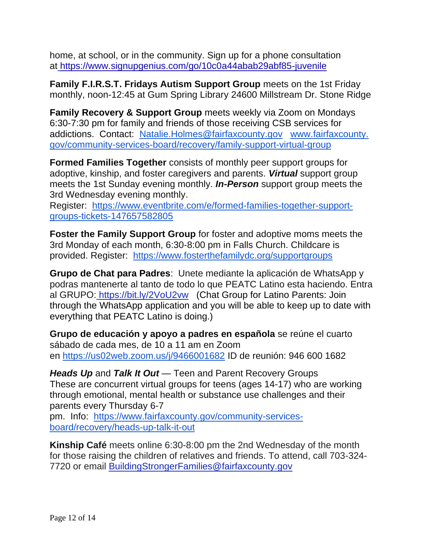home, at school, or in the community. Sign up for a phone consultation at [https://www.signupgenius.com/go/10c0a44abab29abf85-juvenile](https://www.fairfaxcounty.gov/juveniledomesticrelations/juvenile-intake)

**Family F.I.R.S.T. Fridays Autism Support Group** meets on the 1st Friday monthly, noon-12:45 at Gum Spring Library 24600 Millstream Dr. Stone Ridge

**Family Recovery & Support Group** meets weekly via Zoom on Mondays 6:30-7:30 pm for family and friends of those receiving CSB services for addictions. Contact: [Natalie.Holmes@fairfaxcounty.gov](mailto:Natalie.Holmes@fairfaxcounty.gov) [www.fairfaxcounty.](http://www.fairfaxcounty.gov/community-services-board/recovery/family-support-virtual-group) [gov/community-services-board/recovery/family-support-virtual-group](http://www.fairfaxcounty.gov/community-services-board/recovery/family-support-virtual-group)

**Formed Families Together** consists of monthly peer support groups for adoptive, kinship, and foster caregivers and parents. *Virtual* support group meets the 1st Sunday evening monthly. *In-Person* support group meets the 3rd Wednesday evening monthly.

Register: [https://www.eventbrite.com/e/formed-families-together-support](https://www.eventbrite.com/e/formed-families-together-support-groups-tickets-147657582805)[groups-tickets-147657582805](https://www.eventbrite.com/e/formed-families-together-support-groups-tickets-147657582805)

**Foster the Family Support Group** for foster and adoptive moms meets the 3rd Monday of each month, 6:30-8:00 pm in Falls Church. Childcare is provided. Register: <https://www.fosterthefamilydc.org/supportgroups>

**Grupo de Chat para Padres**: Unete mediante la aplicación de WhatsApp y podras mantenerte al tanto de todo lo que PEATC Latino esta haciendo. Entra al GRUPO: [https://bit.ly/2VoU2vw](https://linkprotect.cudasvc.com/url?a=https%3a%2f%2fpeatc.us19.list-manage.com%2ftrack%2fclick%3fu%3d9b5868a79d7b2d88d8732aa3c%26id%3d756fbba846%26e%3d23556639e8&c=E,1,mIA24BSB4wDcwhxhLcAEbyvuwXX-NIVOd6MVMZLc_H2nlemS5jhh3RW_rgulutz5Y4lMyF68MuN8LLHdMpl8EhmLH_gZ8WY0tabjsYP3zs-ntNXOfqtA&typo=1) (Chat Group for Latino Parents: Join through the WhatsApp application and you will be able to keep up to date with everything that PEATC Latino is doing.)

**Grupo de educación y apoyo a padres en española** se reúne el cuarto sábado de cada mes, de 10 a 11 am en Zoom en <https://us02web.zoom.us/j/9466001682> ID de reunión: 946 600 1682

*Heads Up* and *Talk It Out —* Teen and Parent Recovery Groups These are concurrent virtual groups for teens (ages 14-17) who are working through emotional, mental health or substance use challenges and their parents every Thursday 6-7

pm. Info: [https://www.fairfaxcounty.gov/community-services](https://www.fairfaxcounty.gov/community-services-board/recovery/heads-up-talk-it-out)[board/recovery/heads-up-talk-it-out](https://www.fairfaxcounty.gov/community-services-board/recovery/heads-up-talk-it-out)

**Kinship Café** meets online 6:30-8:00 pm the 2nd Wednesday of the month for those raising the children of relatives and friends. To attend, call 703-324- 7720 or email [BuildingStrongerFamilies@fairfaxcounty.gov](mailto:BuildingStrongerFamilies@fairfaxcounty.gov)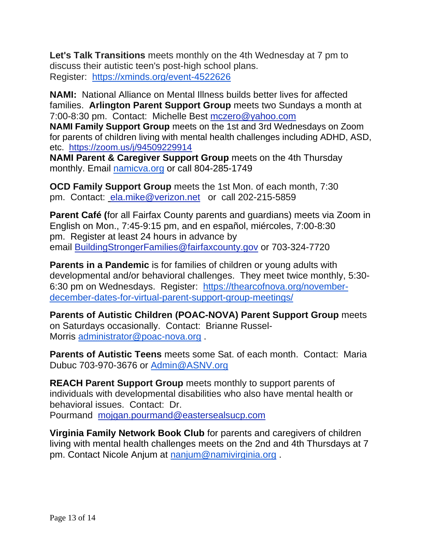**Let's Talk Transitions** meets monthly on the 4th Wednesday at 7 pm to discuss their autistic teen's post-high school plans. Register: <https://xminds.org/event-4522626>

**NAMI:** National Alliance on Mental Illness builds better lives for affected families. **Arlington Parent Support Group** meets two Sundays a month at 7:00-8:30 pm. Contact: Michelle Best [mczero@yahoo.com](mailto:mczero@yahoo.com)

**NAMI Family Support Group** meets on the 1st and 3rd Wednesdays on Zoom for parents of children living with mental health challenges including ADHD, ASD, etc. <https://zoom.us/j/94509229914>

**NAMI Parent & Caregiver Support Group** meets on the 4th Thursday monthly. Email [namicva.org](http://namicva.org/) or call 804-285-1749

**OCD Family Support Group** meets the 1st Mon. of each month, 7:30 pm. Contact: [ela.mike@verizon.net](http://ela.mike@verizon.net/) or call 202-215-5859

**Parent Café (**for all Fairfax County parents and guardians) meets via Zoom in English on Mon., 7:45-9:15 pm, and en español, miércoles, 7:00-8:30 pm. Register at least 24 hours in advance by email [BuildingStrongerFamilies@fairfaxcounty.gov](mailto:BuildingStrongerFamilies@fairfaxcounty.gov) or 703-324-7720

**Parents in a Pandemic** is for families of children or young adults with developmental and/or behavioral challenges. They meet twice monthly, 5:30- 6:30 pm on Wednesdays. Register: [https://thearcofnova.org/november](https://thearcofnova.org/november-december-dates-for-virtual-parent-support-group-meetings/)[december-dates-for-virtual-parent-support-group-meetings/](https://thearcofnova.org/november-december-dates-for-virtual-parent-support-group-meetings/)

**Parents of Autistic Children (POAC-NOVA) Parent Support Group** meets on Saturdays occasionally. Contact: Brianne Russel-Morris [administrator@poac-nova.org](mailto:administrator@poac-nova.org) .

**Parents of Autistic Teens** meets some Sat. of each month. Contact: Maria Dubuc 703-970-3676 or [Admin@ASNV.org](mailto:Admin@ASNV.org)

**REACH Parent Support Group** meets monthly to support parents of individuals with developmental disabilities who also have mental health or behavioral issues. Contact: Dr. Pourmand [mojgan.pourmand@eastersealsucp.com](mailto:mojgan.pourmand@eastersealsucp.com)

**Virginia Family Network Book Club** for parents and caregivers of children living with mental health challenges meets on the 2nd and 4th Thursdays at 7 pm. Contact Nicole Anjum at [nanjum@namivirginia.org](mailto:nanjum@namivirginia.org) .